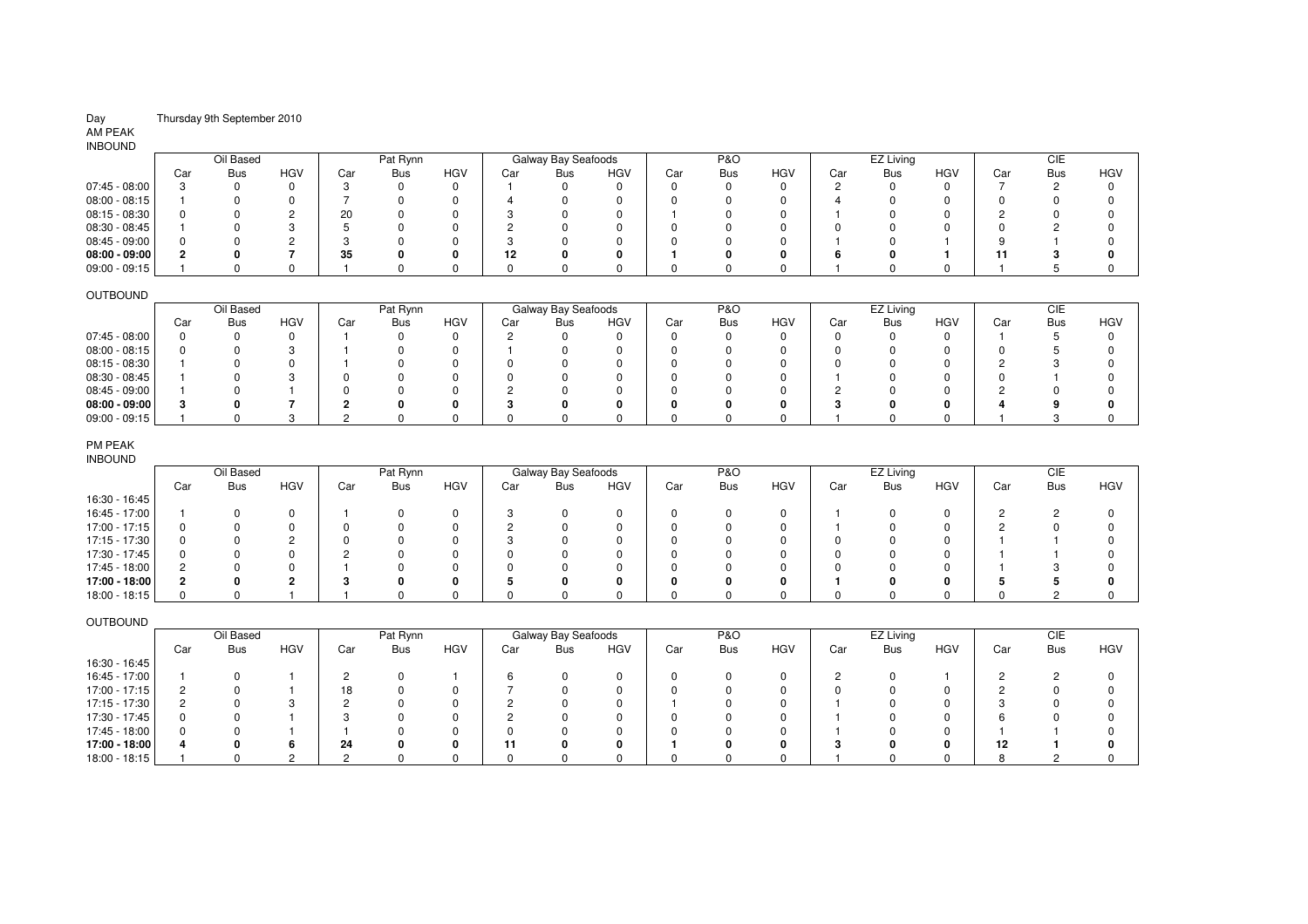# Thursday 9th September 2010

## AM PEAK

| <b>INBOUND</b>  |     |            |            |     |            |            |     |                     |              |     |                |            |     |            |            |     |            |            |
|-----------------|-----|------------|------------|-----|------------|------------|-----|---------------------|--------------|-----|----------------|------------|-----|------------|------------|-----|------------|------------|
|                 |     | Oil Based  |            |     | Pat Rynn   |            |     | Galway Bay Seafoods |              |     | <b>P&amp;O</b> |            |     | EZ Living  |            |     | CIE        |            |
|                 | Car | <b>Bus</b> | <b>HGV</b> | Car | <b>Bus</b> | <b>HGV</b> | Car | <b>Bus</b>          | <b>HGV</b>   | Car | <b>Bus</b>     | <b>HGV</b> | Car | <b>Bus</b> | <b>HGV</b> | Car | <b>Bus</b> | <b>HGV</b> |
| $07:45 - 08:00$ |     |            |            |     |            |            |     |                     | 0            |     |                |            |     |            |            |     |            |            |
| $08:00 - 08:15$ |     |            |            |     |            |            |     |                     |              |     |                |            |     |            |            |     |            |            |
| 08:15 - 08:30   | 0   |            |            | 20  |            |            | v   |                     | <sup>0</sup> |     |                |            |     |            |            |     |            |            |
| 08:30 - 08:45   |     |            |            |     |            |            |     |                     | O            |     |                |            |     |            |            |     |            |            |
| 08:45 - 09:00   | 0   |            |            |     |            |            |     |                     | <sup>0</sup> |     |                |            |     |            |            | o   |            |            |
| $08:00 - 09:00$ |     |            |            | 35  |            |            | 12  |                     | o            |     |                |            |     |            |            |     |            |            |
| $09:00 - 09:15$ |     |            |            |     |            |            |     |                     |              |     |                |            |     |            |            |     |            |            |

## OUTBOUND

| $ -$<br>$ -$    |           |     |            |     |            |            |     |                     |            |     |            |              |     |            |            |     |            |            |
|-----------------|-----------|-----|------------|-----|------------|------------|-----|---------------------|------------|-----|------------|--------------|-----|------------|------------|-----|------------|------------|
|                 | Oil Based |     |            |     | Pat Rynn   |            |     | Galway Bay Seafoods |            |     | P&O        |              |     | EZ Living  |            |     | CIE        |            |
|                 | Car       | Bus | <b>HGV</b> | Car | <b>Bus</b> | <b>HGV</b> | Car | Bus                 | <b>HGV</b> | Car | <b>Bus</b> | <b>HGV</b>   | Car | <b>Bus</b> | <b>HGV</b> | Car | <b>Bus</b> | <b>HGV</b> |
| 07:45 - 08:00   |           |     |            |     |            |            |     |                     |            |     |            | <sup>n</sup> |     |            |            |     |            |            |
| $08:00 - 08:15$ |           |     |            |     |            |            |     |                     |            |     |            |              |     |            |            |     |            |            |
| 08:15 - 08:30   |           |     |            |     |            |            |     |                     |            |     |            |              |     |            |            |     |            |            |
| 08:30 - 08:45   |           |     |            |     |            |            |     |                     |            |     |            | 0            |     |            |            |     |            |            |
| 08:45 - 09:00   |           |     |            |     |            |            |     |                     |            |     |            |              |     |            |            |     |            |            |
| $08:00 - 09:00$ |           |     |            |     |            |            |     |                     | o          |     |            | 0            |     |            |            |     |            |            |
| 09:00 - 09:15   |           |     |            |     |            |            |     |                     |            |     |            |              |     |            |            |     |            |            |

#### PM PEAK

| <b>INBOUND</b> |     |            |            |     |            |            |     |                     |            |              |            |            |     |            |            |     |     |     |
|----------------|-----|------------|------------|-----|------------|------------|-----|---------------------|------------|--------------|------------|------------|-----|------------|------------|-----|-----|-----|
|                |     | Oil Based  |            |     | Pat Rynn   |            |     | Galway Bay Seafoods |            |              | P&O        |            |     | EZ Living  |            |     | CIE |     |
|                | Car | <b>Bus</b> | <b>HGV</b> | Car | <b>Bus</b> | <b>HGV</b> | Car | Bus                 | <b>HGV</b> | Car          | <b>Bus</b> | <b>HGV</b> | Car | <b>Bus</b> | <b>HGV</b> | Car | Bus | HGV |
| 16:30 - 16:45  |     |            |            |     |            |            |     |                     |            |              |            |            |     |            |            |     |     |     |
| 16:45 - 17:00  |     |            |            |     |            |            |     | <sup>0</sup>        | 0          |              |            |            |     |            |            |     |     |     |
| 17:00 - 17:15  |     |            |            |     |            |            |     |                     | $\Omega$   |              |            |            |     |            |            |     |     |     |
| 17:15 - 17:30  |     |            |            |     |            |            |     |                     | 0          |              |            |            |     |            |            |     |     |     |
| 17:30 - 17:45  |     |            |            |     |            |            |     |                     | 0          |              |            |            |     |            |            |     |     |     |
| 17:45 - 18:00  |     |            |            |     |            |            |     |                     | 0          | <sup>0</sup> |            |            |     |            |            |     |     |     |
| 17:00 - 18:00  |     |            |            |     |            |            |     | 0                   | 0          | n            |            |            |     |            |            |     |     |     |
| 18:00 - 18:15  |     |            |            |     |            |            |     |                     | 0          |              |            |            |     |            |            |     |     |     |

## OUTBOUND

|               | Oil Based |     |            |     | Pat Rynn   |            |     | Galway Bay Seafoods |            |     | P&O        |            |     | EZ Living  |            |     | CIE |     |
|---------------|-----------|-----|------------|-----|------------|------------|-----|---------------------|------------|-----|------------|------------|-----|------------|------------|-----|-----|-----|
|               | Car       | Bus | <b>HGV</b> | Car | <b>Bus</b> | <b>HGV</b> | Car | Bus                 | <b>HGV</b> | Car | <b>Bus</b> | <b>HGV</b> | Car | <b>Bus</b> | <b>HGV</b> | Car | Bus | HGV |
| 16:30 - 16:45 |           |     |            |     |            |            |     |                     |            |     |            |            |     |            |            |     |     |     |
| 16:45 - 17:00 |           |     |            |     |            |            |     |                     | 0          |     |            |            |     |            |            |     |     |     |
| 17:00 - 17:15 |           |     |            | 18  |            |            |     |                     |            |     |            |            |     |            |            |     |     |     |
| 17:15 - 17:30 |           |     |            |     |            |            |     |                     | 0          |     |            |            |     |            |            |     |     |     |
| 17:30 - 17:45 |           |     |            |     |            |            |     |                     | 0          |     |            |            |     |            |            |     |     |     |
| 17:45 - 18:00 |           |     |            |     |            |            |     |                     | 0          |     |            |            |     |            |            |     |     |     |
| 17:00 - 18:00 |           |     |            | 24  |            |            |     |                     | 0          |     |            |            |     |            |            | 12  |     |     |
| 18:00 - 18:15 |           |     |            |     |            |            |     |                     | $\Omega$   |     |            |            |     |            |            |     |     |     |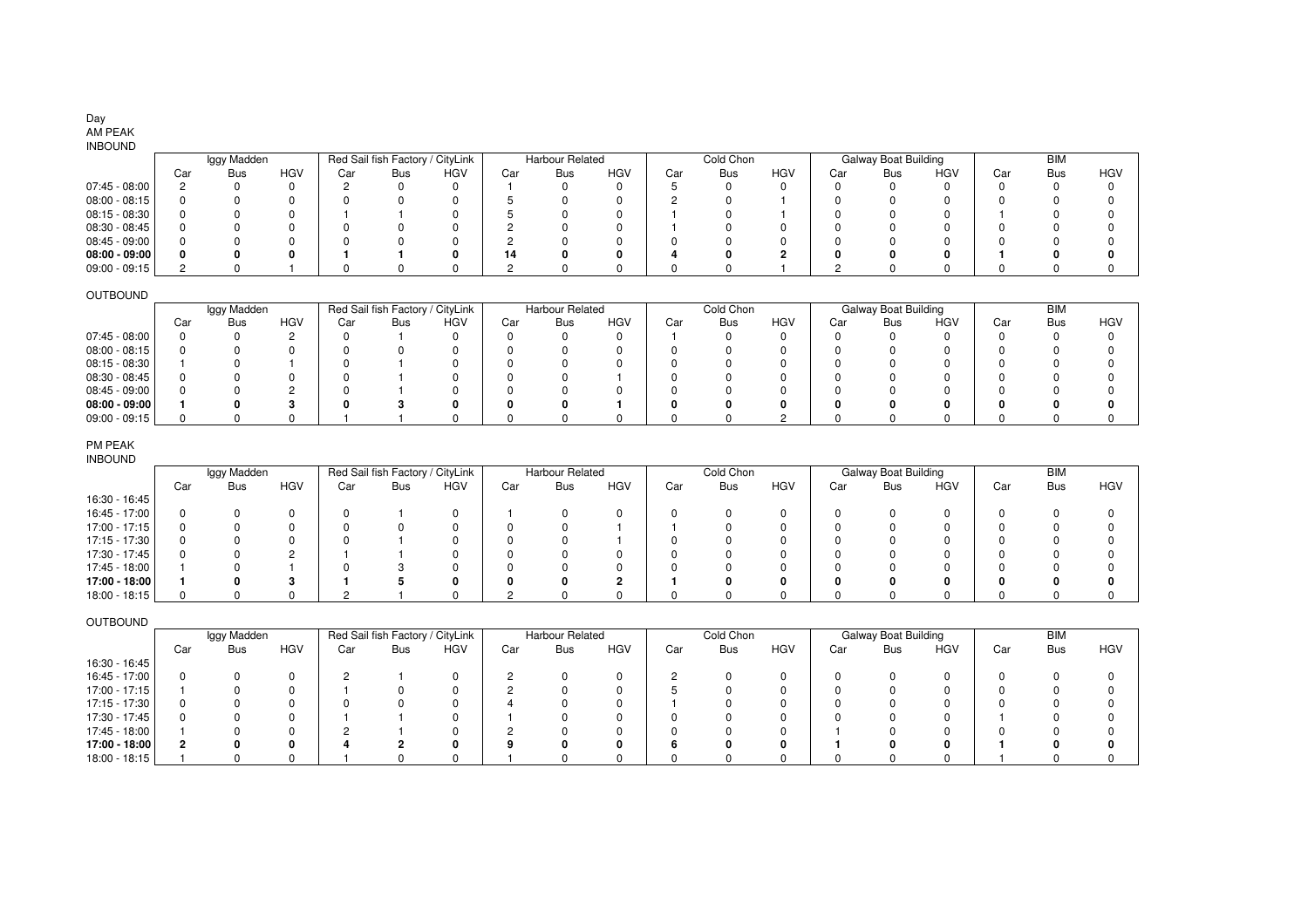## INBOUND

| <b>INDOOND</b>  |             |     |            |     |            |                                  |     |                        |            |     |            |            |     |                             |            |     |            |            |
|-----------------|-------------|-----|------------|-----|------------|----------------------------------|-----|------------------------|------------|-----|------------|------------|-----|-----------------------------|------------|-----|------------|------------|
|                 | Iggy Madden |     |            |     |            | Red Sail fish Factory / CityLink |     | <b>Harbour Related</b> |            |     | Cold Chon  |            |     | <b>Galway Boat Building</b> |            |     | <b>BIM</b> |            |
|                 | Car         | Bus | <b>HGV</b> | Car | <b>Bus</b> | <b>HGV</b>                       | Car | Bus                    | <b>HGV</b> | Car | <b>Bus</b> | <b>HGV</b> | Car | <b>Bus</b>                  | <b>HGV</b> | Car | Bus        | <b>HGV</b> |
| $07:45 - 08:00$ |             |     |            |     |            |                                  |     |                        |            |     |            |            |     |                             |            |     |            |            |
| 08:00 - 08:15   |             |     |            |     |            |                                  |     |                        |            |     |            |            |     |                             |            |     |            |            |
| 08:15 - 08:30   |             |     |            |     |            |                                  |     |                        |            |     |            |            |     |                             |            |     |            |            |
| 08:30 - 08:45   |             |     |            |     |            |                                  |     |                        |            |     |            |            |     |                             |            |     |            |            |
| 08:45 - 09:00   |             |     |            |     |            |                                  |     |                        |            |     |            |            |     |                             |            |     |            |            |
| $08:00 - 09:00$ | o           |     |            |     |            |                                  | 14  |                        | o          |     |            |            |     |                             |            |     |            |            |
| 09:00 - 09:15   |             |     |            |     |            |                                  |     |                        |            |     |            |            |     |                             |            |     |            |            |

## OUTBOUND

| Iggy Madden |     |            |     |     |            |                                  |     |            |                        |     |            |           |     |            |                      | <b>BIM</b> |            |
|-------------|-----|------------|-----|-----|------------|----------------------------------|-----|------------|------------------------|-----|------------|-----------|-----|------------|----------------------|------------|------------|
| Car         | Bus | <b>HGV</b> | Car | Bus | <b>HGV</b> | Car                              | Bus | <b>HGV</b> | Car                    | Bus | <b>HGV</b> | Car       | Bus | <b>HGV</b> | Car                  | Bus        | <b>HGV</b> |
|             |     |            |     |     |            |                                  |     |            |                        |     |            |           |     |            |                      |            |            |
|             |     |            |     |     |            |                                  |     |            |                        |     |            |           |     |            |                      |            |            |
|             |     |            |     |     |            |                                  |     |            |                        |     |            |           |     |            |                      |            |            |
|             |     |            |     |     |            |                                  |     |            |                        |     |            |           |     |            |                      |            |            |
|             |     |            |     |     |            |                                  |     |            |                        |     |            |           |     |            |                      |            |            |
|             |     |            |     |     |            |                                  |     |            |                        |     |            |           |     |            |                      |            |            |
|             |     |            |     |     |            |                                  |     |            |                        |     |            |           |     |            |                      |            |            |
|             |     |            |     |     |            | Red Sail fish Factory / CityLink |     |            | <b>Harbour Related</b> |     |            | Cold Chon |     |            | Galway Boat Building |            |            |

#### PM PEAK INBOUND

|               | Iggy Madden |     |            |     |     | Red Sail fish Factory / CityLink |     | Harbour Related |            |     | Cold Chon |              |     | <b>Galway Boat Building</b> |            |     | <b>BIM</b> |            |
|---------------|-------------|-----|------------|-----|-----|----------------------------------|-----|-----------------|------------|-----|-----------|--------------|-----|-----------------------------|------------|-----|------------|------------|
|               | Car         | Bus | <b>HGV</b> | Car | Bus | <b>HGV</b>                       | Car | <b>Bus</b>      | <b>HGV</b> | Car | Bus       | <b>HGV</b>   | Car | <b>Bus</b>                  | <b>HGV</b> | Car | Bus        | <b>HGV</b> |
| 16:30 - 16:45 |             |     |            |     |     |                                  |     |                 |            |     |           |              |     |                             |            |     |            |            |
| 16:45 - 17:00 |             |     |            |     |     |                                  |     |                 |            |     |           | 0            |     |                             |            |     |            |            |
| 17:00 - 17:15 |             |     |            |     |     |                                  |     |                 |            |     |           | 0            |     |                             |            |     |            |            |
| 17:15 - 17:30 |             |     |            |     |     |                                  |     |                 |            |     |           | 0            |     |                             |            |     |            |            |
| 17:30 - 17:45 |             |     |            |     |     |                                  |     |                 |            |     |           | <sup>0</sup> |     |                             |            |     |            |            |
| 17:45 - 18:00 |             |     |            |     |     |                                  |     |                 |            |     |           | 0            |     |                             |            |     |            |            |
| 17:00 - 18:00 |             |     |            |     |     |                                  |     |                 |            |     |           | 0            |     |                             |            |     |            |            |
| 18:00 - 18:15 |             |     |            |     |     |                                  |     |                 |            |     |           | <sup>n</sup> |     |                             |            |     |            |            |

## OUTBOUND

|               |     | Iggy Madden |            |     | Red Sail fish Factory / CityLink |            |     | Harbour Related |            |     | Cold Chon  |              |     | <b>Galway Boat Building</b> |            |     | <b>BIM</b> |            |
|---------------|-----|-------------|------------|-----|----------------------------------|------------|-----|-----------------|------------|-----|------------|--------------|-----|-----------------------------|------------|-----|------------|------------|
|               | Car | <b>Bus</b>  | <b>HGV</b> | Car | <b>Bus</b>                       | <b>HGV</b> | Car | <b>Bus</b>      | <b>HGV</b> | Car | <b>Bus</b> | <b>HGV</b>   | Car | <b>Bus</b>                  | <b>HGV</b> | Car | <b>Bus</b> | <b>HGV</b> |
| 16:30 - 16:45 |     |             |            |     |                                  |            |     |                 |            |     |            |              |     |                             |            |     |            |            |
| 16:45 - 17:00 |     |             |            |     |                                  |            |     |                 |            |     |            | <sup>0</sup> |     |                             |            |     |            |            |
| 17:00 - 17:15 |     |             |            |     |                                  |            |     |                 |            |     |            |              |     |                             |            |     |            |            |
| 17:15 - 17:30 |     |             |            |     |                                  |            |     |                 |            |     |            |              |     |                             |            |     |            |            |
| 17:30 - 17:45 |     |             |            |     |                                  |            |     |                 |            |     |            | 0            |     |                             |            |     |            |            |
| 17:45 - 18:00 |     |             |            |     |                                  |            |     |                 |            |     |            | $\Omega$     |     |                             |            |     |            |            |
| 17:00 - 18:00 |     |             |            |     |                                  |            |     |                 |            |     |            | n            |     |                             |            |     |            |            |
| 18:00 - 18:15 |     |             |            |     |                                  |            |     |                 |            |     |            | <sup>n</sup> |     |                             |            |     |            |            |

Day AM PEAK